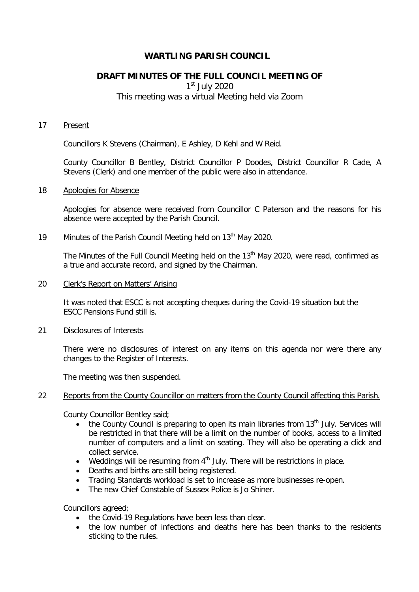# **WARTLING PARISH COUNCIL**

# **DRAFT MINUTES OF THE FULL COUNCIL MEETING OF**

 $1<sup>st</sup>$  July 2020

# This meeting was a virtual Meeting held via Zoom

### 17 Present

Councillors K Stevens (Chairman), E Ashley, D Kehl and W Reid.

County Councillor B Bentley, District Councillor P Doodes, District Councillor R Cade, A Stevens (Clerk) and one member of the public were also in attendance.

### 18 Apologies for Absence

Apologies for absence were received from Councillor C Paterson and the reasons for his absence were accepted by the Parish Council.

# 19 Minutes of the Parish Council Meeting held on 13<sup>th</sup> May 2020.

The Minutes of the Full Council Meeting held on the 13<sup>th</sup> May 2020, were read, confirmed as a true and accurate record, and signed by the Chairman.

### 20 Clerk's Report on Matters' Arising

It was noted that ESCC is not accepting cheques during the Covid-19 situation but the ESCC Pensions Fund still is.

## 21 Disclosures of Interests

There were no disclosures of interest on any items on this agenda nor were there any changes to the Register of Interests.

The meeting was then suspended.

### 22 Reports from the County Councillor on matters from the County Council affecting this Parish.

County Councillor Bentley said;

- the County Council is preparing to open its main libraries from  $13<sup>th</sup>$  July. Services will be restricted in that there will be a limit on the number of books, access to a limited number of computers and a limit on seating. They will also be operating a click and collect service.
- Weddings will be resuming from  $4<sup>th</sup>$  July. There will be restrictions in place.
- Deaths and births are still being registered.
- Trading Standards workload is set to increase as more businesses re-open.
- The new Chief Constable of Sussex Police is Jo Shiner.

Councillors agreed;

- the Covid-19 Regulations have been less than clear.
- the low number of infections and deaths here has been thanks to the residents sticking to the rules.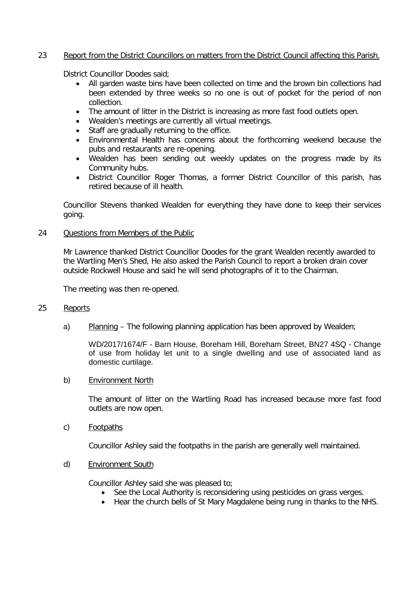## 23 Report from the District Councillors on matters from the District Council affecting this Parish.

District Councillor Doodes said;

- All garden waste bins have been collected on time and the brown bin collections had been extended by three weeks so no one is out of pocket for the period of non collection.
- The amount of litter in the District is increasing as more fast food outlets open.
- Wealden's meetings are currently all virtual meetings.
- Staff are gradually returning to the office.
- Environmental Health has concerns about the forthcoming weekend because the pubs and restaurants are re-opening.
- Wealden has been sending out weekly updates on the progress made by its Community hubs.
- District Councillor Roger Thomas, a former District Councillor of this parish, has retired because of ill health.

Councillor Stevens thanked Wealden for everything they have done to keep their services going.

24 Questions from Members of the Public

Mr Lawrence thanked District Councillor Doodes for the grant Wealden recently awarded to the Wartling Men's Shed, He also asked the Parish Council to report a broken drain cover outside Rockwell House and said he will send photographs of it to the Chairman.

The meeting was then re-opened.

## 25 Reports

a) Planning – The following planning application has been approved by Wealden;

WD/2017/1674/F - Barn House, Boreham Hill, Boreham Street, BN27 4SQ - Change of use from holiday let unit to a single dwelling and use of associated land as domestic curtilage.

### b) Environment North

The amount of litter on the Wartling Road has increased because more fast food outlets are now open.

c) Footpaths

Councillor Ashley said the footpaths in the parish are generally well maintained.

### d) Environment South

Councillor Ashley said she was pleased to;

- See the Local Authority is reconsidering using pesticides on grass verges.
- Hear the church bells of St Mary Magdalene being rung in thanks to the NHS.